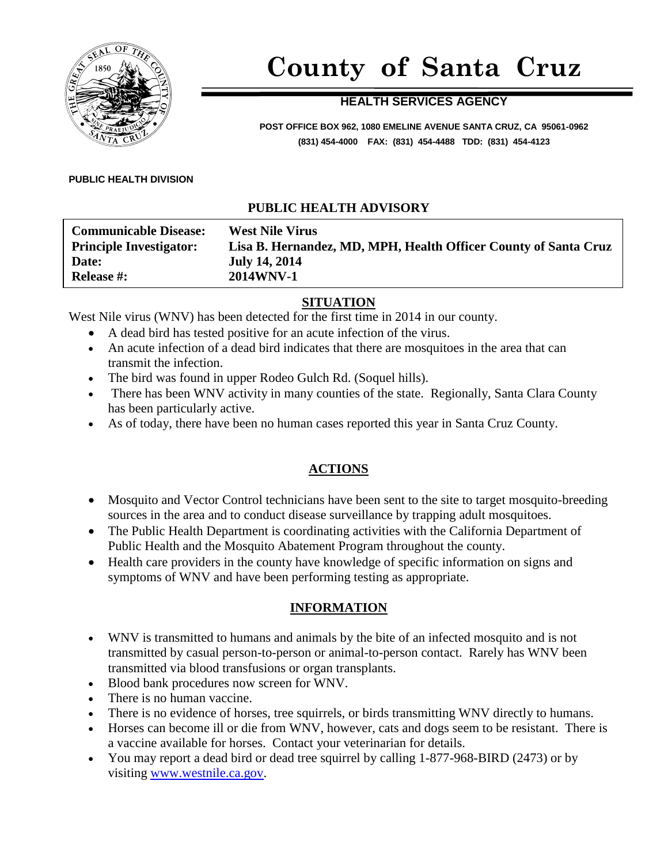

# **County of Santa Cruz**

# **HEALTH SERVICES AGENCY**

**POST OFFICE BOX 962, 1080 EMELINE AVENUE SANTA CRUZ, CA 95061-0962 (831) 454-4000 FAX: (831) 454-4488 TDD: (831) 454-4123**

#### **PUBLIC HEALTH DIVISION**

#### **PUBLIC HEALTH ADVISORY**

| <b>Communicable Disease:</b><br><b>Principle Investigator:</b> | <b>West Nile Virus</b><br>Lisa B. Hernandez, MD, MPH, Health Officer County of Santa Cruz |
|----------------------------------------------------------------|-------------------------------------------------------------------------------------------|
| Date:                                                          | <b>July 14, 2014</b>                                                                      |
| <b>Release #:</b>                                              | <b>2014WNV-1</b>                                                                          |

#### **SITUATION**

West Nile virus (WNV) has been detected for the first time in 2014 in our county.

- A dead bird has tested positive for an acute infection of the virus.
- An acute infection of a dead bird indicates that there are mosquitoes in the area that can transmit the infection.
- The bird was found in upper Rodeo Gulch Rd. (Soquel hills).
- There has been WNV activity in many counties of the state. Regionally, Santa Clara County has been particularly active.
- As of today, there have been no human cases reported this year in Santa Cruz County.

## **ACTIONS**

- Mosquito and Vector Control technicians have been sent to the site to target mosquito-breeding sources in the area and to conduct disease surveillance by trapping adult mosquitoes.
- The Public Health Department is coordinating activities with the California Department of Public Health and the Mosquito Abatement Program throughout the county.
- Health care providers in the county have knowledge of specific information on signs and symptoms of WNV and have been performing testing as appropriate.

#### **INFORMATION**

- WNV is transmitted to humans and animals by the bite of an infected mosquito and is not transmitted by casual person-to-person or animal-to-person contact. Rarely has WNV been transmitted via blood transfusions or organ transplants.
- Blood bank procedures now screen for WNV.
- There is no human vaccine.
- There is no evidence of horses, tree squirrels, or birds transmitting WNV directly to humans.
- Horses can become ill or die from WNV, however, cats and dogs seem to be resistant. There is a vaccine available for horses. Contact your veterinarian for details.
- You may report a dead bird or dead tree squirrel by calling 1-877-968-BIRD (2473) or by visiting [www.westnile.ca.gov.](http://www.westnile.ca.gov/)